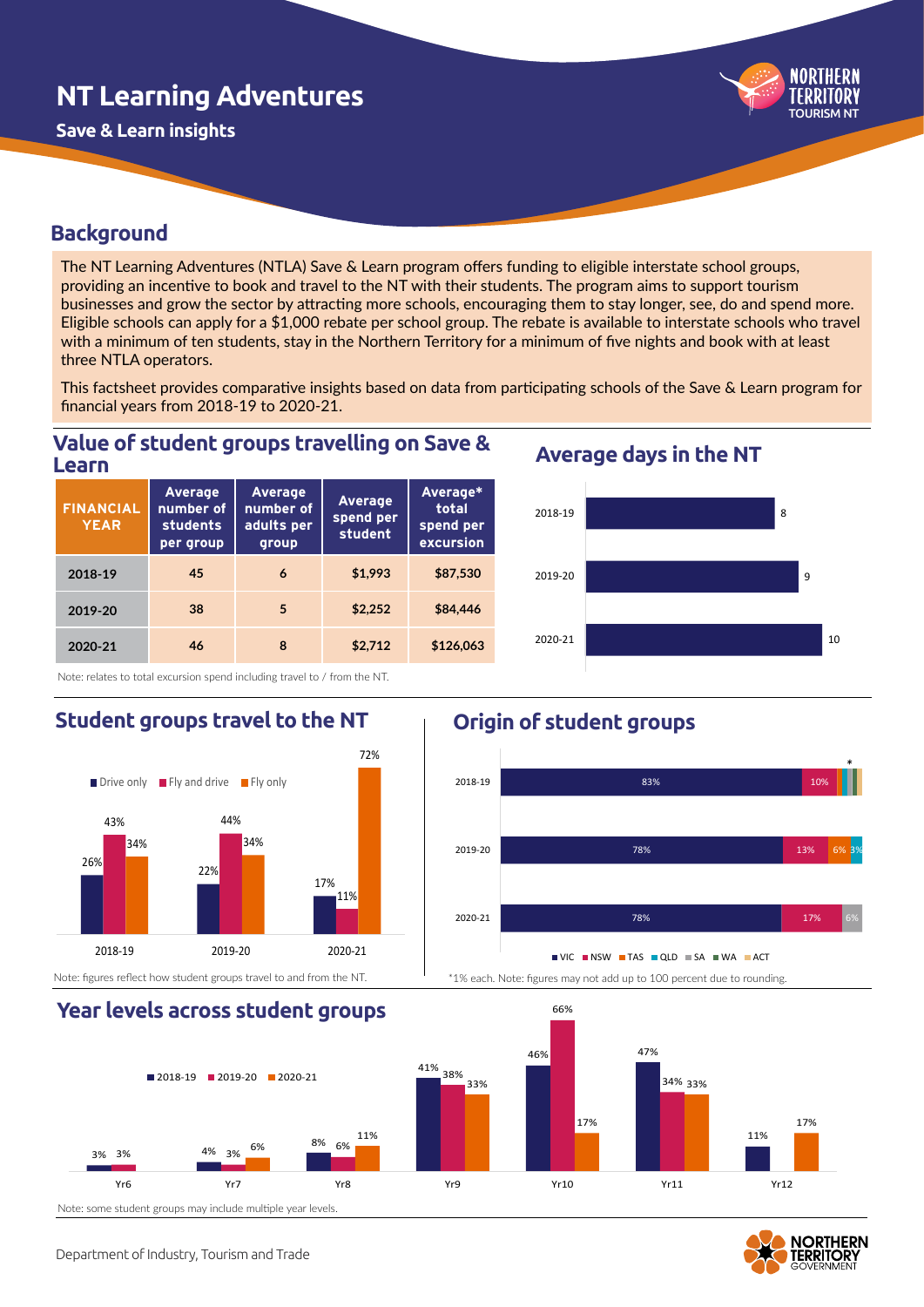# **NT Learning Adventures**

**Save & Learn insights**

#### **Background**

The NT Learning Adventures (NTLA) Save & Learn program offers funding to eligible interstate school groups, providing an incentive to book and travel to the NT with their students. The program aims to support tourism businesses and grow the sector by attracting more schools, encouraging them to stay longer, see, do and spend more. Eligible schools can apply for a \$1,000 rebate per school group. The rebate is available to interstate schools who travel with a minimum of ten students, stay in the Northern Territory for a minimum of five nights and book with at least three NTLA operators.

This factsheet provides comparative insights based on data from participating schools of the Save & Learn program for financial years from 2018-19 to 2020-21.

#### **Average days in the NT Value of student groups travelling on Save & Learn**

| <b>FINANCIAL</b><br><b>YEAR</b> | <b>Average</b><br>number of<br><b>students</b><br>per group | <b>Average</b><br><b>Average</b><br>number of<br>spend per<br>adults per<br>student<br>group |         | Average*<br>total<br>spend per<br>excursion |  |  |
|---------------------------------|-------------------------------------------------------------|----------------------------------------------------------------------------------------------|---------|---------------------------------------------|--|--|
| 2018-19                         | 45                                                          | 6                                                                                            | \$1,993 | \$87,530                                    |  |  |
| 2019-20                         | 38                                                          | 5                                                                                            | \$2,252 | \$84,446                                    |  |  |
| 2020-21                         | 46                                                          | 8                                                                                            | \$2,712 | \$126,063                                   |  |  |



TOURISM NT

Note: relates to total excursion spend including travel to / from the NT.

#### **Student groups travel to the NT**



## **Origin of student groups**

66%



#### **Year levels across student groups**



Note: some student groups may include multiple year levels.